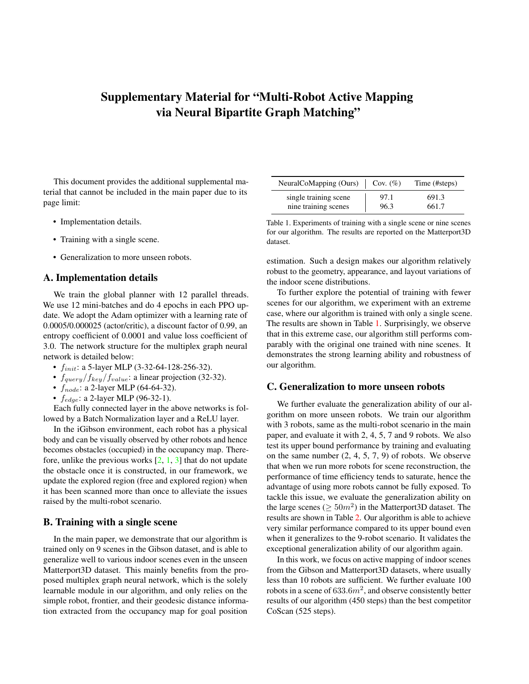# Supplementary Material for "Multi-Robot Active Mapping via Neural Bipartite Graph Matching"

This document provides the additional supplemental material that cannot be included in the main paper due to its page limit:

- Implementation details.
- Training with a single scene.
- Generalization to more unseen robots.

#### A. Implementation details

We train the global planner with 12 parallel threads. We use 12 mini-batches and do 4 epochs in each PPO update. We adopt the Adam optimizer with a learning rate of 0.0005/0.000025 (actor/critic), a discount factor of 0.99, an entropy coefficient of 0.0001 and value loss coefficient of 3.0. The network structure for the multiplex graph neural network is detailed below:

- $f_{init}$ : a 5-layer MLP (3-32-64-128-256-32).
- $f_{query}/f_{key}/f_{value}$ : a linear projection (32-32).
- $f_{node}$ : a 2-layer MLP (64-64-32).
- $f_{edge}$ : a 2-layer MLP (96-32-1).

Each fully connected layer in the above networks is followed by a Batch Normalization layer and a ReLU layer.

In the iGibson environment, each robot has a physical body and can be visually observed by other robots and hence becomes obstacles (occupied) in the occupancy map. Therefore, unlike the previous works  $[2, 1, 3]$  $[2, 1, 3]$  $[2, 1, 3]$  $[2, 1, 3]$  $[2, 1, 3]$  that do not update the obstacle once it is constructed, in our framework, we update the explored region (free and explored region) when it has been scanned more than once to alleviate the issues raised by the multi-robot scenario.

### B. Training with a single scene

In the main paper, we demonstrate that our algorithm is trained only on 9 scenes in the Gibson dataset, and is able to generalize well to various indoor scenes even in the unseen Matterport3D dataset. This mainly benefits from the proposed multiplex graph neural network, which is the solely learnable module in our algorithm, and only relies on the simple robot, frontier, and their geodesic distance information extracted from the occupancy map for goal position

| NeuralCoMapping (Ours) | Cov. $(\%)$ | Time (#steps) |
|------------------------|-------------|---------------|
| single training scene  | 97.1        | 691.3         |
| nine training scenes   | 96.3        | 661.7         |

<span id="page-0-0"></span>Table 1. Experiments of training with a single scene or nine scenes for our algorithm. The results are reported on the Matterport3D dataset.

estimation. Such a design makes our algorithm relatively robust to the geometry, appearance, and layout variations of the indoor scene distributions.

To further explore the potential of training with fewer scenes for our algorithm, we experiment with an extreme case, where our algorithm is trained with only a single scene. The results are shown in Table [1.](#page-0-0) Surprisingly, we observe that in this extreme case, our algorithm still performs comparably with the original one trained with nine scenes. It demonstrates the strong learning ability and robustness of our algorithm.

#### C. Generalization to more unseen robots

We further evaluate the generalization ability of our algorithm on more unseen robots. We train our algorithm with 3 robots, same as the multi-robot scenario in the main paper, and evaluate it with 2, 4, 5, 7 and 9 robots. We also test its upper bound performance by training and evaluating on the same number  $(2, 4, 5, 7, 9)$  of robots. We observe that when we run more robots for scene reconstruction, the performance of time efficiency tends to saturate, hence the advantage of using more robots cannot be fully exposed. To tackle this issue, we evaluate the generalization ability on the large scenes ( $\geq 50m^2$ ) in the Matterport3D dataset. The results are shown in Table [2.](#page-1-3) Our algorithm is able to achieve very similar performance compared to its upper bound even when it generalizes to the 9-robot scenario. It validates the exceptional generalization ability of our algorithm again.

In this work, we focus on active mapping of indoor scenes from the Gibson and Matterport3D datasets, where usually less than 10 robots are sufficient. We further evaluate 100 robots in a scene of  $633.6m^2$ , and observe consistently better results of our algorithm (450 steps) than the best competitor CoScan (525 steps).